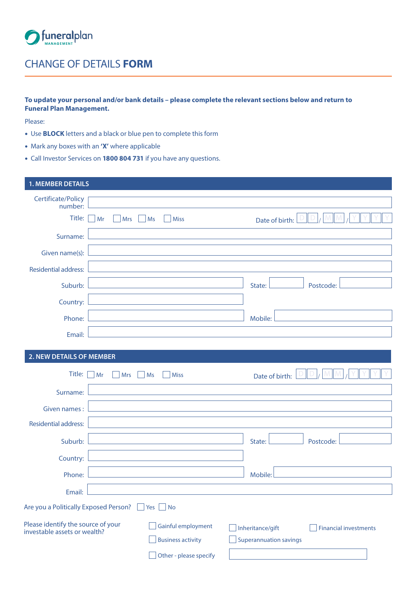

# CHANGE OF DETAILS **FORM**

## **To update your personal and/or bank details – please complete the relevant sections below and return to Funeral Plan Management.**

Please:

- Use **BLOCK** letters and a black or blue pen to complete this form
- Mark any boxes with an **'X'** where applicable
- Call Investor Services on **1800 804 731** if you have any questions.

# **1. MEMBER DETAILS** Certificate/Policy number: Title:  $\Box$  Mr  $\Box$  Mrs  $\Box$  Ms  $\Box$  Miss Date of birth: Surname: Given name(s): Residential address: Suburb: Latter Louis Communication (State: Postcode: Postcode: Postcode: Postcode: Postcode: Postcode: Postcod Country: Phone: <u>National Communications of the Mobile: National American Mobile:</u> Email:

## **2. NEW DETAILS OF MEMBER**

| Title:                                                             | Mr<br><b>Mrs</b> | <b>Miss</b><br>Ms                                                                         | Date of birth:                                    |                              |
|--------------------------------------------------------------------|------------------|-------------------------------------------------------------------------------------------|---------------------------------------------------|------------------------------|
| Surname:                                                           |                  |                                                                                           |                                                   |                              |
| Given names:                                                       |                  |                                                                                           |                                                   |                              |
| <b>Residential address:</b>                                        |                  |                                                                                           |                                                   |                              |
| Suburb:                                                            |                  | the control of the control of the control of the control of the control of the control of | State:                                            | Postcode:                    |
| Country:                                                           |                  | the control of the control of the control of the control of the control of the control of |                                                   |                              |
| Phone:                                                             |                  |                                                                                           | Mobile:                                           |                              |
| Email:                                                             |                  |                                                                                           |                                                   |                              |
| Are you a Politically Exposed Person?<br>Yes  <br><b>No</b>        |                  |                                                                                           |                                                   |                              |
| Please identify the source of your<br>investable assets or wealth? |                  | Gainful employment<br><b>Business activity</b><br>Other - please specify                  | Inheritance/gift<br><b>Superannuation savings</b> | <b>Financial investments</b> |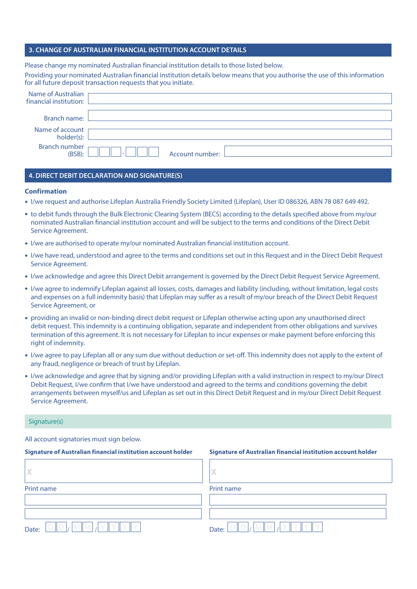### **3. CHANGE OF AUSTRALIAN FINANCIAL INSTITUTION ACCOUNT DETAILS**

Please change my nominated Australian financial institution details to those listed below.

Providing your nominated Australian financial institution details below means that you authorise the use of this information for all future deposit transaction requests that you initiate.

| Name of Australian<br>financial institution: |        |                 |  |
|----------------------------------------------|--------|-----------------|--|
|                                              |        |                 |  |
| Branch name:                                 |        |                 |  |
| Name of account<br>holder(s):                |        |                 |  |
| <b>Branch number</b><br>(BSB):               | $\sim$ | Account number: |  |

#### **4. DIRECT DEBIT DECLARATION AND SIGNATURE(S)**

#### **Confirmation**

- I/we request and authorise Lifeplan Australia Friendly Society Limited (Lifeplan), User ID 086326, ABN 78 087 649 492.
- to debit funds through the Bulk Electronic Clearing System (BECS) according to the details specified above from my/our nominated Australian financial institution account and will be subject to the terms and conditions of the Direct Debit Service Agreement.
- I/we are authorised to operate my/our nominated Australian financial institution account.
- I/we have read, understood and agree to the terms and conditions set out in this Request and in the Direct Debit Request Service Agreement.
- I/we acknowledge and agree this Direct Debit arrangement is governed by the Direct Debit Request Service Agreement.
- I/we agree to indemnify Lifeplan against all losses, costs, damages and liability (including, without limitation, legal costs and expenses on a full indemnity basis) that Lifeplan may suffer as a result of my/our breach of the Direct Debit Request Service Agreement, or
- providing an invalid or non-binding direct debit request or Lifeplan otherwise acting upon any unauthorised direct debit request. This indemnity is a continuing obligation, separate and independent from other obligations and survives termination of this agreement. It is not necessary for Lifeplan to incur expenses or make payment before enforcing this right of indemnity.
- I/we agree to pay Lifeplan all or any sum due without deduction or set-off. This indemnity does not apply to the extent of any fraud, negligence or breach of trust by Lifeplan.
- I/we acknowledge and agree that by signing and/or providing Lifeplan with a valid instruction in respect to my/our Direct Debit Request, I/we confirm that I/we have understood and agreed to the terms and conditions governing the debit arrangements between myself/us and Lifeplan as set out in this Direct Debit Request and in my/our Direct Debit Request Service Agreement.

#### Signature(s)

All account signatories must sign below.

#### **Signature of Australian financial institution account holder** Signature of Australian financial institution account holder

| Print name | Print name |
|------------|------------|
|            |            |
|            |            |
| Date:      | Date:      |